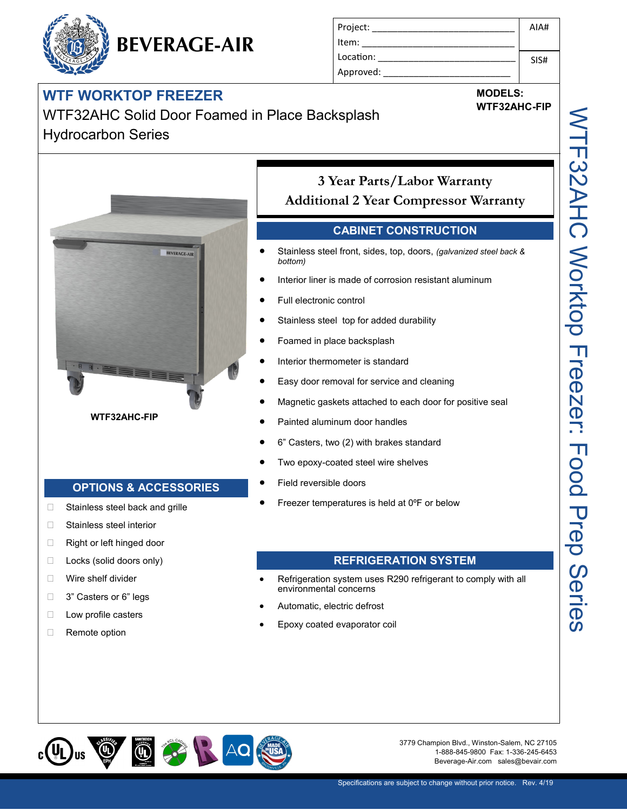## **WTF WORKTOP FREEZER**

| Project:  | AIA# |
|-----------|------|
| Item:     |      |
| Location: | SIS# |
| Approved: |      |

WTF32AHC Solid Door Foamed in Place Backsplash Hydrocarbon Series

**BEVERAGE-AIR**



**WTF32AHC-FIP**

### **3 Year Parts/Labor Warranty Additional 2 Year Compressor Warranty**

#### **CABINET CONSTRUCTION**

- Stainless steel front, sides, top, doors, *(galvanized steel back & bottom)*
- Interior liner is made of corrosion resistant aluminum
- Full electronic control
- Stainless steel top for added durability
- Foamed in place backsplash
- Interior thermometer is standard
- Easy door removal for service and cleaning
- Magnetic gaskets attached to each door for positive seal
- Painted aluminum door handles
- 6" Casters, two (2) with brakes standard
- Two epoxy-coated steel wire shelves
- Field reversible doors
- □ Stainless steel back and grille **●** Freezer temperatures is held at 0°F or below

#### **REFRIGERATION SYSTEM**

- Refrigeration system uses R290 refrigerant to comply with all environmental concerns
- Automatic, electric defrost
- Epoxy coated evaporator coil



3779 Champion Blvd., Winston-Salem, NC 27105 1-888-845-9800 Fax: 1-336-245-6453 Beverage-Air.com sales@bevair.com

**MODELS: WTF32AHC-FIP**

#### **OPTIONS & ACCESSORIES**

- 
- □ Stainless steel interior
- □ Right or left hinged door
- □ Locks (solid doors only)
- □ Wire shelf divider
- □ 3" Casters or 6" legs
- □ Low profile casters
- □ Remote option